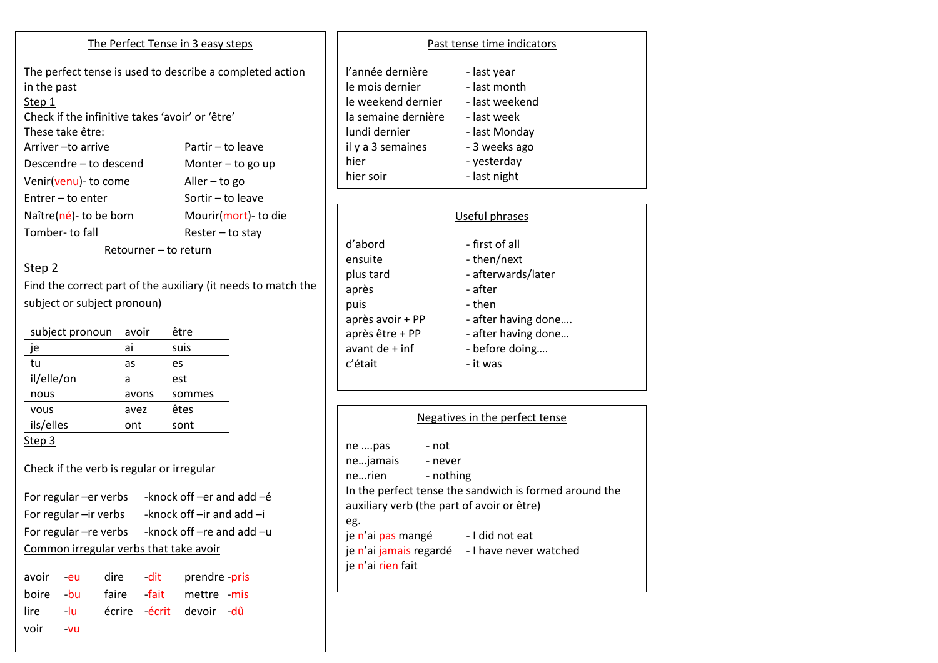#### The Perfect Tense in 3 easy steps

The perfect tense is used to describe a completed action in the past Step 1

Check if the infinitive takes 'avoir' or 'être' These take être: Arriver – to arrive Partir – to leave Descendre – to descend Monter – to go up Venir(venu)- to come Aller – to go

Entrer – to enter Sortir – to leave Naître(né)- to be born Mourir(mort)- to die Tomber- to fall Rester – to stay

Retourner – to return

## Step 2

Find the correct part of the auxiliary (it needs to match the subject or subject pronoun)

| subject pronoun | avoir | être   |
|-----------------|-------|--------|
| je              | ai    | suis   |
| tu              | as    | es     |
| il/elle/on      | a     | est    |
| nous            | avons | sommes |
| vous            | avez  | êtes   |
| ils/elles       | ont   | sont   |
| Step 3          |       |        |

Check if the verb is regular or irregular

For regular –er verbs -knock off –er and add –é For regular –ir verbs -knock off –ir and add –i For regular –re verbs -knock off –re and add – $u$ Common irregular verbs that take avoir

|      |       |  | avoir -eu dire -dit prendre-pris |
|------|-------|--|----------------------------------|
|      |       |  | boire bu faire fait mettre mis   |
|      |       |  | lire -lu écrire écrit devoir -dû |
| voir | $-VU$ |  |                                  |

### Past tense time indicators

| l'année dernière    | - last year    |
|---------------------|----------------|
| le mois dernier     | - last month   |
| le weekend dernier  | - last weekend |
| la semaine dernière | - last week    |
| lundi dernier       | - last Monday  |
| il y a 3 semaines   | - 3 weeks ago  |
| hier                | - yesterday    |
| hier soir           | - last night   |
|                     |                |

|                  | Useful phrases      |
|------------------|---------------------|
| d'abord          | - first of all      |
| ensuite          | - then/next         |
| plus tard        | - afterwards/later  |
| après            | - after             |
| puis             | - then              |
| après avoir + PP | - after having done |
| après être + PP  | - after having done |
| avant de $+$ inf | - before doing      |
| c'était          | - it was            |

| Negatives in the perfect tense                                                 |                               |                                                                                                                                                                          |  |
|--------------------------------------------------------------------------------|-------------------------------|--------------------------------------------------------------------------------------------------------------------------------------------------------------------------|--|
| ne pas<br>nejamais<br>ne…rien<br>eg.<br>je n'ai pas mangé<br>je n'ai rien fait | - not<br>- never<br>- nothing | In the perfect tense the sandwich is formed around the<br>auxiliary verb (the part of avoir or être)<br>- I did not eat<br>je n'ai jamais regardé - I have never watched |  |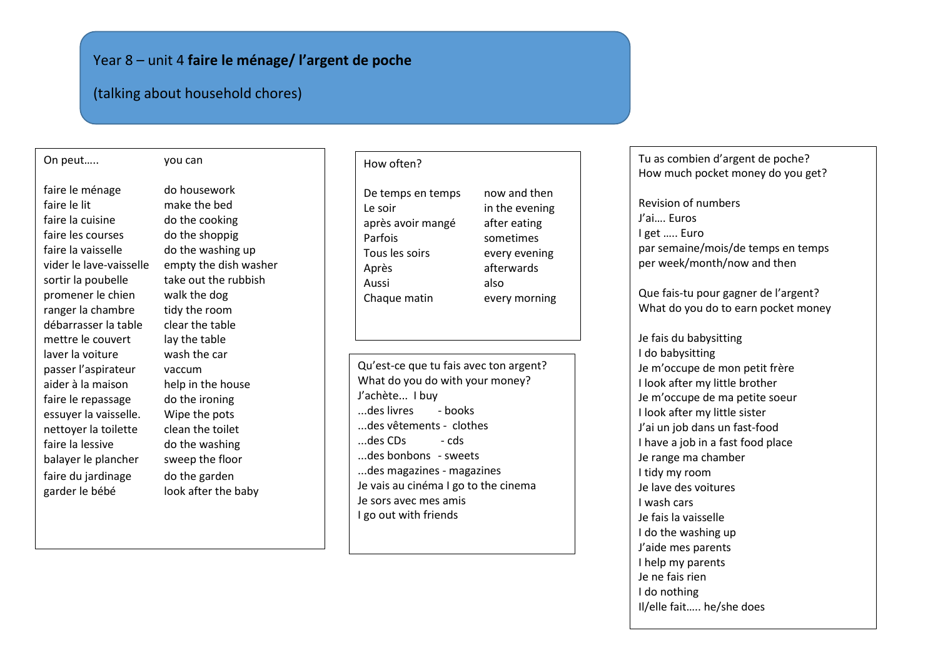# Year 8 – unit 4 **faire le ménage/ l'argent de poche**

# (talking about household chores)

#### On peut….. you can

faire le ménage do housework faire le lit make the bed faire la cuisine do the cooking faire les courses do the shoppig faire la vaisselle do the washing up promener le chien walk the dog ranger la chambre tidy the room débarrasser la table clear the table mettre le couvert lay the table laver la voiture wash the car passer l'aspirateur vaccum aider à la maison help in the house faire le repassage do the ironing essuyer la vaisselle. Wipe the pots nettoyer la toilette clean the toilet faire la lessive do the washing balayer le plancher sweep the floor faire du jardinage do the garden garder le bébé look after the baby

vider le lave-vaisselle empty the dish washer sortir la poubelle take out the rubbish

#### How often?

De temps en temps now and then Le soir in the evening après avoir mangé after eating Parfois sometimes Tous les soirs every evening Après afterwards Aussi also Chaque matin every morning

Qu'est-ce que tu fais avec ton argent? What do you do with your money? J'achète... I buy ...des livres - books ...des vêtements - clothes ...des CDs - cds ...des bonbons - sweets ...des magazines - magazines Je vais au cinéma I go to the cinema Je sors avec mes amis I go out with friends

Tu as combien d'argent de poche? How much pocket money do you get?

Revision of numbers J'ai…. Euros I get ….. Euro par semaine/mois/de temps en temps per week/month/now and then

Que fais-tu pour gagner de l'argent? What do you do to earn pocket money

Je fais du babysitting I do babysitting Je m'occupe de mon petit frère I look after my little brother Je m'occupe de ma petite soeur I look after my little sister J'ai un job dans un fast-food I have a job in a fast food place Je range ma chamber I tidy my room Je lave des voitures I wash cars Je fais la vaisselle I do the washing up J'aide mes parents I help my parents Je ne fais rien I do nothing Il/elle fait….. he/she does